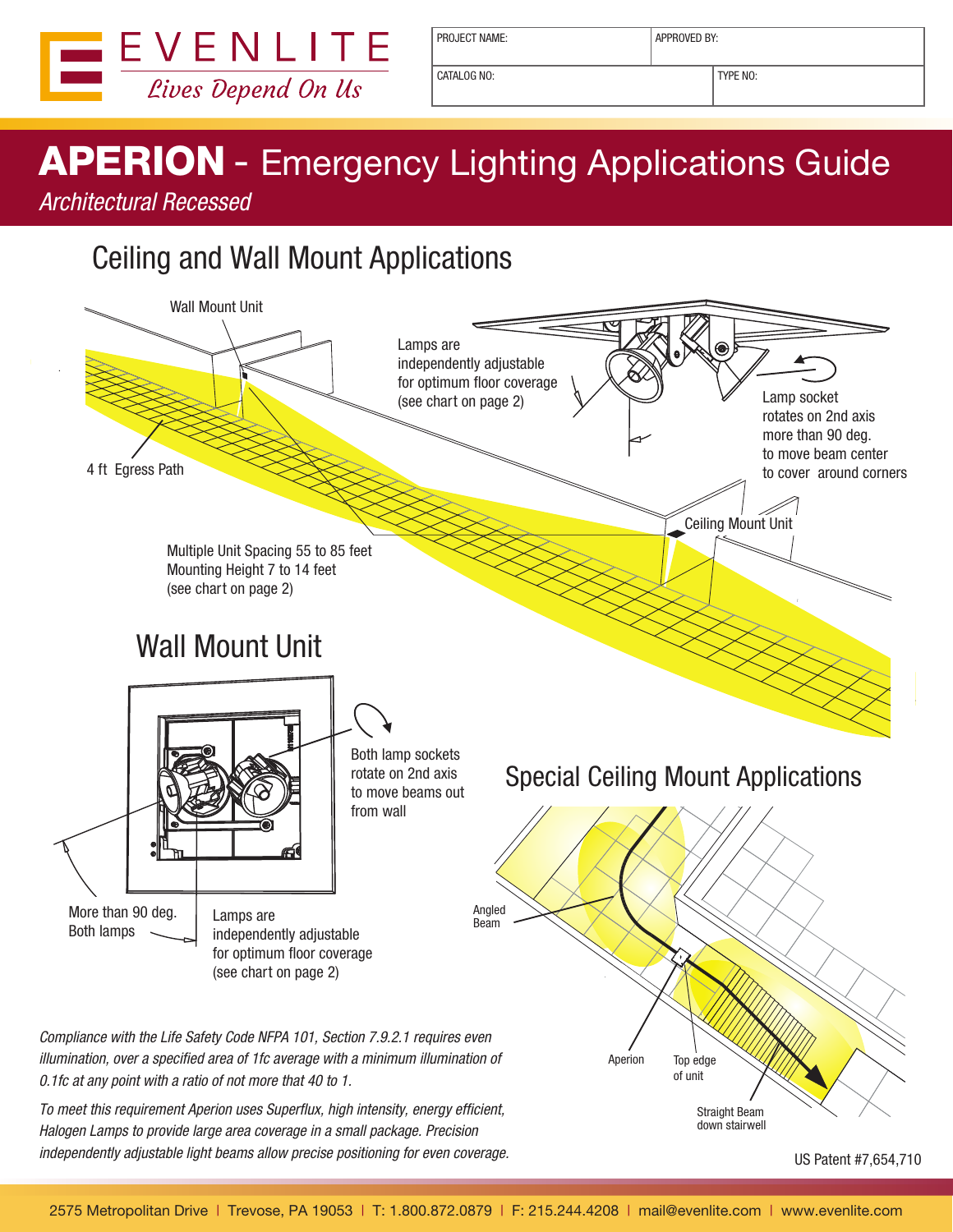

PROJECT NAME:  $\vert$  APPROVED BY:

CATALOG NO: TYPE NO:

# **APERION** - Emergency Lighting Applications Guide

Architectural Recessed

## Ceiling and Wall Mount Applications



To meet this requirement Aperion uses Superflux, high intensity, energy efficient, Halogen Lamps to provide large area coverage in a small package. Precision independently adjustable light beams allow precise positioning for even coverage.

US Patent #7,654,710

Straight Beam down stairwell